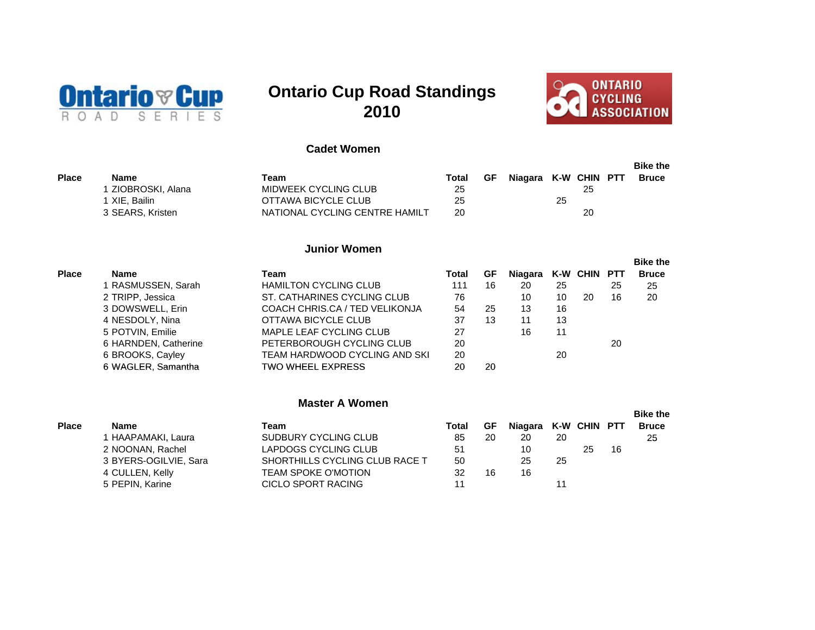

# **Ontario Cup Road Standings 2010**



# **Cadet Women**

|       |                  |                                |       |    |                      |    |    | <b>Bike the</b> |
|-------|------------------|--------------------------------|-------|----|----------------------|----|----|-----------------|
| Place | Name             | Team                           | Total | GF | Niagara K-W CHIN PTT |    |    | <b>Bruce</b>    |
|       | ZIOBROSKI, Alana | MIDWEEK CYCLING CLUB           | 25    |    |                      |    | 25 |                 |
|       | I XIE. Bailin    | OTTAWA BICYCLE CLUB            | 25    |    |                      | 25 |    |                 |
|       | 3 SEARS, Kristen | NATIONAL CYCLING CENTRE HAMILT | 20    |    |                      |    | 20 |                 |

# **Junior Women**

|              |                      |                                |       |    |         |    |              |    | <b>Bike the</b> |
|--------------|----------------------|--------------------------------|-------|----|---------|----|--------------|----|-----------------|
| <b>Place</b> | <b>Name</b>          | Team                           | Total | GF | Niagara |    | K-W CHIN PTT |    | <b>Bruce</b>    |
|              | 1 RASMUSSEN, Sarah   | <b>HAMILTON CYCLING CLUB</b>   | 111   | 16 | 20      | 25 |              | 25 | 25              |
|              | 2 TRIPP, Jessica     | ST. CATHARINES CYCLING CLUB    | 76    |    | 10      | 10 | 20           | 16 | 20              |
|              | 3 DOWSWELL, Erin     | COACH CHRIS.CA / TED VELIKONJA | 54    | 25 | 13      | 16 |              |    |                 |
|              | 4 NESDOLY, Nina      | OTTAWA BICYCLE CLUB            | 37    | 13 | 11      | 13 |              |    |                 |
|              | 5 POTVIN, Emilie     | MAPLE LEAF CYCLING CLUB        | 27    |    | 16      | 11 |              |    |                 |
|              | 6 HARNDEN, Catherine | PETERBOROUGH CYCLING CLUB      | 20    |    |         |    |              | 20 |                 |
|              | 6 BROOKS, Cayley     | TEAM HARDWOOD CYCLING AND SKI  | 20    |    |         | 20 |              |    |                 |
|              | 6 WAGLER, Samantha   | <b>TWO WHEEL EXPRESS</b>       | 20    | 20 |         |    |              |    |                 |

#### **Master A Women**

|              |                       |                                |       |    |                      |    |    |    | <b>Bike the</b> |
|--------------|-----------------------|--------------------------------|-------|----|----------------------|----|----|----|-----------------|
| <b>Place</b> | <b>Name</b>           | Team                           | Total | GF | Niagara K-W CHIN PTT |    |    |    | <b>Bruce</b>    |
|              | HAAPAMAKI, Laura      | SUDBURY CYCLING CLUB           | 85    | 20 | 20                   | 20 |    |    | 25              |
|              | 2 NOONAN, Rachel      | LAPDOGS CYCLING CLUB           | 51    |    | 10                   |    | 25 | 16 |                 |
|              | 3 BYERS-OGILVIE, Sara | SHORTHILLS CYCLING CLUB RACE T | 50    |    | 25                   | 25 |    |    |                 |
|              | 4 CULLEN, Kelly       | TEAM SPOKE O'MOTION            | 32    | 16 | 16                   |    |    |    |                 |
|              | 5 PEPIN, Karine       | <b>CICLO SPORT RACING</b>      |       |    |                      |    |    |    |                 |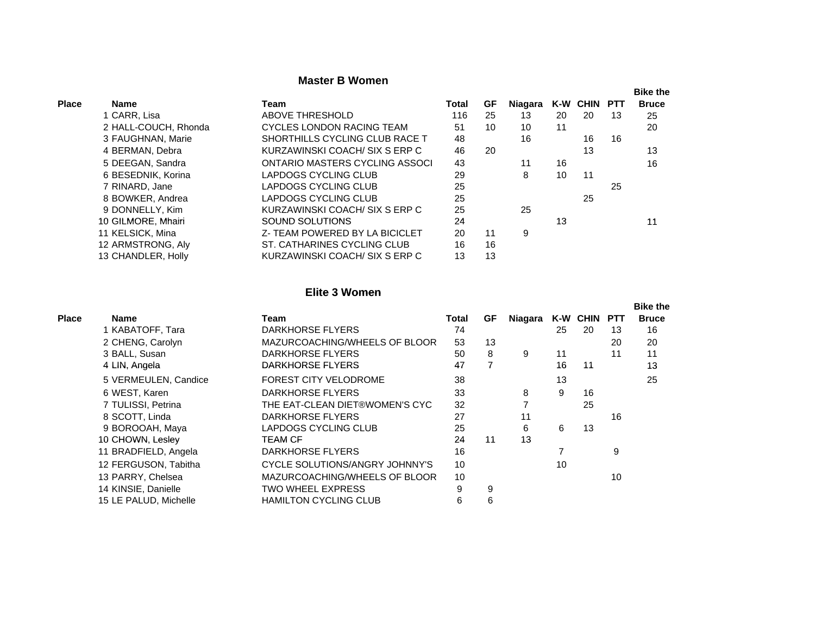## **Master B Women**

|              |                      |                                |       |    |         |    |              |    | <b>Bike the</b> |
|--------------|----------------------|--------------------------------|-------|----|---------|----|--------------|----|-----------------|
| <b>Place</b> | Name                 | Team                           | Total | GF | Niagara |    | K-W CHIN PTT |    | <b>Bruce</b>    |
|              | 1 CARR, Lisa         | ABOVE THRESHOLD                | 116   | 25 | 13      | 20 | 20           | 13 | 25              |
|              | 2 HALL-COUCH, Rhonda | CYCLES LONDON RACING TEAM      | 51    | 10 | 10      | 11 |              |    | 20              |
|              | 3 FAUGHNAN, Marie    | SHORTHILLS CYCLING CLUB RACE T | 48    |    | 16      |    | 16           | 16 |                 |
|              | 4 BERMAN, Debra      | KURZAWINSKI COACH/SIX S ERP C  | 46    | 20 |         |    | 13           |    | 13              |
|              | 5 DEEGAN, Sandra     | ONTARIO MASTERS CYCLING ASSOCI | 43    |    | 11      | 16 |              |    | 16              |
|              | 6 BESEDNIK, Korina   | LAPDOGS CYCLING CLUB           | 29    |    | 8       | 10 | 11           |    |                 |
|              | 7 RINARD, Jane       | LAPDOGS CYCLING CLUB           | 25    |    |         |    |              | 25 |                 |
|              | 8 BOWKER, Andrea     | LAPDOGS CYCLING CLUB           | 25    |    |         |    | 25           |    |                 |
|              | 9 DONNELLY, Kim      | KURZAWINSKI COACH/SIX S ERP C  | 25    |    | 25      |    |              |    |                 |
|              | 10 GILMORE, Mhairi   | SOUND SOLUTIONS                | 24    |    |         | 13 |              |    | 11              |
|              | 11 KELSICK, Mina     | Z- TEAM POWERED BY LA BICICLET | 20    | 11 | 9       |    |              |    |                 |
|              | 12 ARMSTRONG, Aly    | ST. CATHARINES CYCLING CLUB    | 16    | 16 |         |    |              |    |                 |
|              | 13 CHANDLER, Holly   | KURZAWINSKI COACH/SIX S ERP C  | 13    | 13 |         |    |              |    |                 |

## **Elite 3 Women**

|              |                       |                                |       |           |         |    |                 |            | <b>Bike the</b> |
|--------------|-----------------------|--------------------------------|-------|-----------|---------|----|-----------------|------------|-----------------|
| <b>Place</b> | <b>Name</b>           | Team                           | Total | <b>GF</b> | Niagara |    | <b>K-W CHIN</b> | <b>PTT</b> | <b>Bruce</b>    |
|              | 1 KABATOFF, Tara      | DARKHORSE FLYERS               | 74    |           |         | 25 | 20              | 13         | 16              |
|              | 2 CHENG, Carolyn      | MAZURCOACHING/WHEELS OF BLOOR  | 53    | 13        |         |    |                 | 20         | 20              |
|              | 3 BALL, Susan         | DARKHORSE FLYERS               | 50    | 8         | 9       | 11 |                 | 11         | 11              |
|              | 4 LIN, Angela         | <b>DARKHORSE FLYERS</b>        | 47    | 7         |         | 16 | 11              |            | 13              |
|              | 5 VERMEULEN, Candice  | <b>FOREST CITY VELODROME</b>   | 38    |           |         | 13 |                 |            | 25              |
|              | 6 WEST, Karen         | <b>DARKHORSE FLYERS</b>        | 33    |           | 8       | 9  | 16              |            |                 |
|              | 7 TULISSI, Petrina    | THE EAT-CLEAN DIET®WOMEN'S CYC | 32    |           |         |    | 25              |            |                 |
|              | 8 SCOTT, Linda        | DARKHORSE FLYERS               | 27    |           | 11      |    |                 | 16         |                 |
|              | 9 BOROOAH, Maya       | LAPDOGS CYCLING CLUB           | 25    |           | 6       | 6  | 13              |            |                 |
|              | 10 CHOWN, Lesley      | TEAM CF                        | 24    | 11        | 13      |    |                 |            |                 |
|              | 11 BRADFIELD, Angela  | DARKHORSE FLYERS               | 16    |           |         |    |                 | 9          |                 |
|              | 12 FERGUSON, Tabitha  | CYCLE SOLUTIONS/ANGRY JOHNNY'S | 10    |           |         | 10 |                 |            |                 |
|              | 13 PARRY, Chelsea     | MAZURCOACHING/WHEELS OF BLOOR  | 10    |           |         |    |                 | 10         |                 |
|              | 14 KINSIE, Danielle   | <b>TWO WHEEL EXPRESS</b>       | 9     | 9         |         |    |                 |            |                 |
|              | 15 LE PALUD, Michelle | <b>HAMILTON CYCLING CLUB</b>   | 6     | 6         |         |    |                 |            |                 |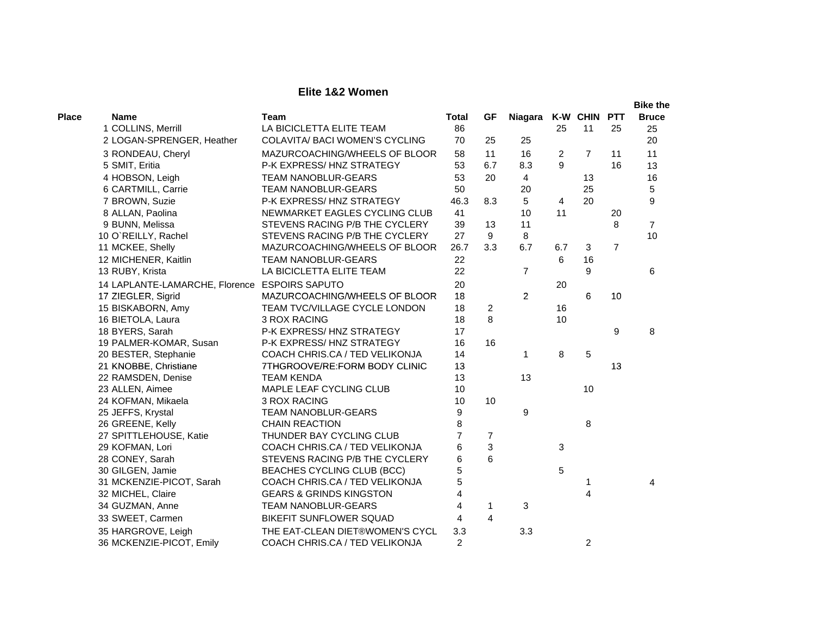## **Elite 1&2 Women**

|              |                                               |                                    |                |                |                |                |                |                | <b>Bike the</b> |
|--------------|-----------------------------------------------|------------------------------------|----------------|----------------|----------------|----------------|----------------|----------------|-----------------|
| <b>Place</b> | <b>Name</b>                                   | <b>Team</b>                        | <b>Total</b>   | <b>GF</b>      | Niagara        |                | K-W CHIN PTT   |                | <b>Bruce</b>    |
|              | 1 COLLINS, Merrill                            | LA BICICLETTA ELITE TEAM           | 86             |                |                | 25             | 11             | 25             | 25              |
|              | 2 LOGAN-SPRENGER, Heather                     | COLAVITA/ BACI WOMEN'S CYCLING     | 70             | 25             | 25             |                |                |                | 20              |
|              | 3 RONDEAU, Cheryl                             | MAZURCOACHING/WHEELS OF BLOOR      | 58             | 11             | 16             | 2              | $\overline{7}$ | 11             | 11              |
|              | 5 SMIT, Eritia                                | P-K EXPRESS/HNZ STRATEGY           | 53             | 6.7            | 8.3            | 9              |                | 16             | 13              |
|              | 4 HOBSON, Leigh                               | <b>TEAM NANOBLUR-GEARS</b>         | 53             | 20             | 4              |                | 13             |                | 16              |
|              | 6 CARTMILL, Carrie                            | <b>TEAM NANOBLUR-GEARS</b>         | 50             |                | 20             |                | 25             |                | 5               |
|              | 7 BROWN, Suzie                                | P-K EXPRESS/HNZ STRATEGY           | 46.3           | 8.3            | 5              | $\overline{4}$ | 20             |                | 9               |
|              | 8 ALLAN, Paolina                              | NEWMARKET EAGLES CYCLING CLUB      | 41             |                | 10             | 11             |                | 20             |                 |
|              | 9 BUNN, Melissa                               | STEVENS RACING P/B THE CYCLERY     | 39             | 13             | 11             |                |                | 8              | $\overline{7}$  |
|              | 10 O`REILLY, Rachel                           | STEVENS RACING P/B THE CYCLERY     | 27             | 9              | 8              |                |                |                | 10              |
|              | 11 MCKEE, Shelly                              | MAZURCOACHING/WHEELS OF BLOOR      | 26.7           | 3.3            | 6.7            | 6.7            | 3              | $\overline{7}$ |                 |
|              | 12 MICHENER, Kaitlin                          | <b>TEAM NANOBLUR-GEARS</b>         | 22             |                |                | 6              | 16             |                |                 |
|              | 13 RUBY, Krista                               | LA BICICLETTA ELITE TEAM           | 22             |                | $\overline{7}$ |                | 9              |                | 6               |
|              | 14 LAPLANTE-LAMARCHE, Florence ESPOIRS SAPUTO |                                    | 20             |                |                | 20             |                |                |                 |
|              | 17 ZIEGLER, Sigrid                            | MAZURCOACHING/WHEELS OF BLOOR      | 18             |                | $\overline{2}$ |                | 6              | 10             |                 |
|              | 15 BISKABORN, Amy                             | TEAM TVC/VILLAGE CYCLE LONDON      | 18             | 2              |                | 16             |                |                |                 |
|              | 16 BIETOLA, Laura                             | 3 ROX RACING                       | 18             | 8              |                | 10             |                |                |                 |
|              | 18 BYERS, Sarah                               | P-K EXPRESS/HNZ STRATEGY           | 17             |                |                |                |                | 9              | 8               |
|              | 19 PALMER-KOMAR, Susan                        | P-K EXPRESS/HNZ STRATEGY           | 16             | 16             |                |                |                |                |                 |
|              | 20 BESTER, Stephanie                          | COACH CHRIS.CA / TED VELIKONJA     | 14             |                | $\mathbf{1}$   | 8              | 5              |                |                 |
|              | 21 KNOBBE, Christiane                         | 7THGROOVE/RE:FORM BODY CLINIC      | 13             |                |                |                |                | 13             |                 |
|              | 22 RAMSDEN, Denise                            | <b>TEAM KENDA</b>                  | 13             |                | 13             |                |                |                |                 |
|              | 23 ALLEN, Aimee                               | MAPLE LEAF CYCLING CLUB            | 10             |                |                |                | 10             |                |                 |
|              | 24 KOFMAN, Mikaela                            | 3 ROX RACING                       | 10             | 10             |                |                |                |                |                 |
|              | 25 JEFFS, Krystal                             | <b>TEAM NANOBLUR-GEARS</b>         | 9              |                | 9              |                |                |                |                 |
|              | 26 GREENE, Kelly                              | <b>CHAIN REACTION</b>              | 8              |                |                |                | 8              |                |                 |
|              | 27 SPITTLEHOUSE, Katie                        | THUNDER BAY CYCLING CLUB           | $\overline{7}$ | 7              |                |                |                |                |                 |
|              | 29 KOFMAN, Lori                               | COACH CHRIS.CA / TED VELIKONJA     | 6              | 3              |                | 3              |                |                |                 |
|              | 28 CONEY, Sarah                               | STEVENS RACING P/B THE CYCLERY     | 6              | 6              |                |                |                |                |                 |
|              | 30 GILGEN, Jamie                              | BEACHES CYCLING CLUB (BCC)         | 5              |                |                | 5              |                |                |                 |
|              | 31 MCKENZIE-PICOT, Sarah                      | COACH CHRIS.CA / TED VELIKONJA     | 5              |                |                |                |                |                | 4               |
|              | 32 MICHEL, Claire                             | <b>GEARS &amp; GRINDS KINGSTON</b> | 4              |                |                |                | 4              |                |                 |
|              | 34 GUZMAN, Anne                               | <b>TEAM NANOBLUR-GEARS</b>         | 4              | $\mathbf{1}$   | 3              |                |                |                |                 |
|              | 33 SWEET, Carmen                              | <b>BIKEFIT SUNFLOWER SQUAD</b>     | 4              | $\overline{4}$ |                |                |                |                |                 |
|              | 35 HARGROVE, Leigh                            | THE EAT-CLEAN DIET®WOMEN'S CYCL    | 3.3            |                | 3.3            |                |                |                |                 |
|              | 36 MCKENZIE-PICOT, Emily                      | COACH CHRIS.CA / TED VELIKONJA     | $\overline{c}$ |                |                |                | 2              |                |                 |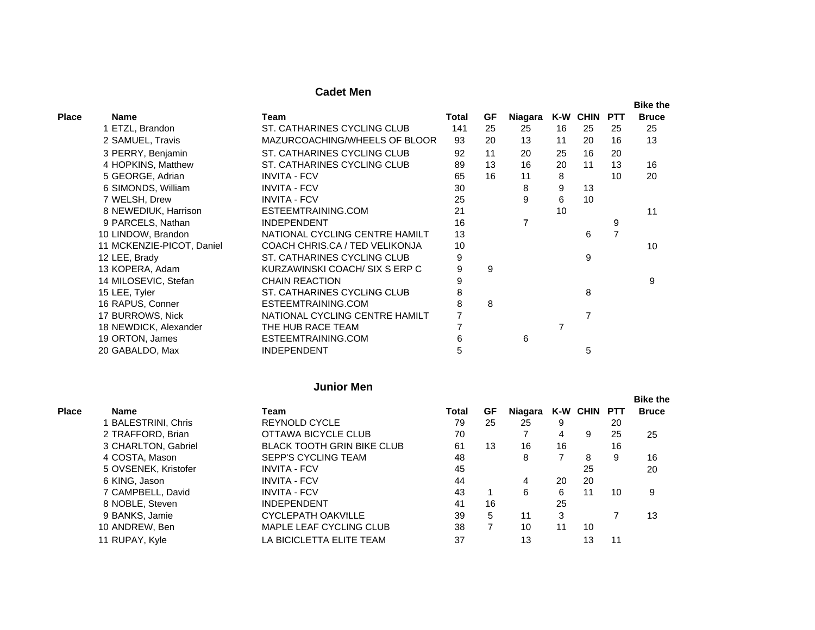## **Cadet Men**

|              |                           |                                |       |    |         |    |          |            | <b>Bike the</b> |
|--------------|---------------------------|--------------------------------|-------|----|---------|----|----------|------------|-----------------|
| <b>Place</b> | <b>Name</b>               | Team                           | Total | GF | Niagara |    | K-W CHIN | <b>PTT</b> | <b>Bruce</b>    |
|              | 1 ETZL, Brandon           | ST. CATHARINES CYCLING CLUB    | 141   | 25 | 25      | 16 | 25       | 25         | 25              |
|              | 2 SAMUEL, Travis          | MAZURCOACHING/WHEELS OF BLOOR  | 93    | 20 | 13      | 11 | 20       | 16         | 13              |
|              | 3 PERRY, Benjamin         | ST. CATHARINES CYCLING CLUB    | 92    | 11 | 20      | 25 | 16       | 20         |                 |
|              | 4 HOPKINS, Matthew        | ST. CATHARINES CYCLING CLUB    | 89    | 13 | 16      | 20 | 11       | 13         | 16              |
|              | 5 GEORGE, Adrian          | <b>INVITA - FCV</b>            | 65    | 16 | 11      | 8  |          | 10         | 20              |
|              | 6 SIMONDS, William        | <b>INVITA - FCV</b>            | 30    |    | 8       | 9  | 13       |            |                 |
|              | 7 WELSH, Drew             | <b>INVITA - FCV</b>            | 25    |    | 9       | 6  | 10       |            |                 |
|              | 8 NEWEDIUK, Harrison      | ESTEEMTRAINING.COM             | 21    |    |         | 10 |          |            | 11              |
|              | 9 PARCELS, Nathan         | <b>INDEPENDENT</b>             | 16    |    | 7       |    |          | 9          |                 |
|              | 10 LINDOW, Brandon        | NATIONAL CYCLING CENTRE HAMILT | 13    |    |         |    | 6        | 7          |                 |
|              | 11 MCKENZIE-PICOT, Daniel | COACH CHRIS.CA / TED VELIKONJA | 10    |    |         |    |          |            | 10              |
|              | 12 LEE, Brady             | ST. CATHARINES CYCLING CLUB    | 9     |    |         |    | 9        |            |                 |
|              | 13 KOPERA, Adam           | KURZAWINSKI COACH/SIX SERP C   | 9     | 9  |         |    |          |            |                 |
|              | 14 MILOSEVIC, Stefan      | <b>CHAIN REACTION</b>          | 9     |    |         |    |          |            | 9               |
|              | 15 LEE, Tyler             | ST. CATHARINES CYCLING CLUB    | 8     |    |         |    | 8        |            |                 |
|              | 16 RAPUS, Conner          | ESTEEMTRAINING.COM             | 8     | 8  |         |    |          |            |                 |
|              | 17 BURROWS, Nick          | NATIONAL CYCLING CENTRE HAMILT |       |    |         |    | 7        |            |                 |
|              | 18 NEWDICK, Alexander     | THE HUB RACE TEAM              |       |    |         |    |          |            |                 |
|              | 19 ORTON, James           | ESTEEMTRAINING.COM             | 6     |    | 6       |    |          |            |                 |
|              | 20 GABALDO, Max           | <b>INDEPENDENT</b>             | 5     |    |         |    | 5        |            |                 |

### **Junior Men**

| <b>Place</b> | Name                 | Team                              | Total | GF | Niagara |    | K-W CHIN PTT |    | <b>Bike the</b><br><b>Bruce</b> |
|--------------|----------------------|-----------------------------------|-------|----|---------|----|--------------|----|---------------------------------|
|              |                      |                                   |       |    |         |    |              |    |                                 |
|              | 1 BALESTRINI, Chris  | <b>REYNOLD CYCLE</b>              | 79    | 25 | 25      | 9  |              | 20 |                                 |
|              | 2 TRAFFORD, Brian    | OTTAWA BICYCLE CLUB               | 70    |    |         | 4  | 9            | 25 | 25                              |
|              | 3 CHARLTON, Gabriel  | <b>BLACK TOOTH GRIN BIKE CLUB</b> | 61    | 13 | 16      | 16 |              | 16 |                                 |
|              | 4 COSTA, Mason       | <b>SEPP'S CYCLING TEAM</b>        | 48    |    | 8       |    | 8            | 9  | 16                              |
|              | 5 OVSENEK, Kristofer | <b>INVITA - FCV</b>               | 45    |    |         |    | 25           |    | 20                              |
|              | 6 KING, Jason        | <b>INVITA - FCV</b>               | 44    |    | 4       | 20 | 20           |    |                                 |
|              | 7 CAMPBELL, David    | <b>INVITA - FCV</b>               | 43    |    | 6.      | 6  | 11           | 10 | 9                               |
|              | 8 NOBLE, Steven      | <b>INDEPENDENT</b>                | 41    | 16 |         | 25 |              |    |                                 |
|              | 9 BANKS, Jamie       | <b>CYCLEPATH OAKVILLE</b>         | 39    | 5  | 11      | 3  |              |    | 13                              |
|              | 10 ANDREW, Ben       | <b>MAPLE LEAF CYCLING CLUB</b>    | 38    |    | 10      | 11 | 10           |    |                                 |
|              | 11 RUPAY, Kyle       | LA BICICLETTA ELITE TEAM          | 37    |    | 13      |    | 13           | 11 |                                 |
|              |                      |                                   |       |    |         |    |              |    |                                 |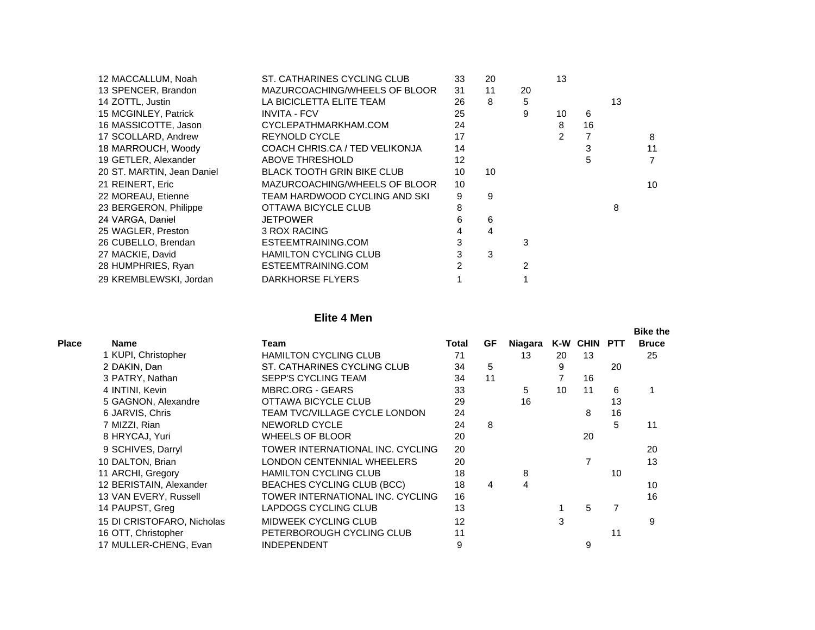| 12 MACCALLUM, Noah         | ST. CATHARINES CYCLING CLUB       | 33 | 20 |    | 13 |    |    |                |
|----------------------------|-----------------------------------|----|----|----|----|----|----|----------------|
| 13 SPENCER, Brandon        | MAZURCOACHING/WHEELS OF BLOOR     | 31 | 11 | 20 |    |    |    |                |
| 14 ZOTTL, Justin           | LA BICICLETTA ELITE TEAM          | 26 | 8  | 5  |    |    | 13 |                |
| 15 MCGINLEY, Patrick       | <b>INVITA - FCV</b>               | 25 |    | 9  | 10 | 6  |    |                |
| 16 MASSICOTTE, Jason       | CYCLEPATHMARKHAM.COM              | 24 |    |    | 8  | 16 |    |                |
| 17 SCOLLARD, Andrew        | <b>REYNOLD CYCLE</b>              | 17 |    |    | 2  |    |    | 8              |
| 18 MARROUCH, Woody         | COACH CHRIS.CA / TED VELIKONJA    | 14 |    |    |    | 3  |    | 11             |
| 19 GETLER, Alexander       | ABOVE THRESHOLD                   | 12 |    |    |    |    |    | $\overline{7}$ |
| 20 ST. MARTIN, Jean Daniel | <b>BLACK TOOTH GRIN BIKE CLUB</b> | 10 | 10 |    |    |    |    |                |
| 21 REINERT, Eric           | MAZURCOACHING/WHEELS OF BLOOR     | 10 |    |    |    |    |    | 10             |
| 22 MOREAU, Etienne         | TEAM HARDWOOD CYCLING AND SKI     | 9  | 9  |    |    |    |    |                |
| 23 BERGERON, Philippe      | OTTAWA BICYCLE CLUB               | 8  |    |    |    |    | 8  |                |
| 24 VARGA, Daniel           | <b>JETPOWER</b>                   | 6  | 6  |    |    |    |    |                |
| 25 WAGLER, Preston         | 3 ROX RACING                      | 4  | 4  |    |    |    |    |                |
| 26 CUBELLO, Brendan        | ESTEEMTRAINING.COM                | 3  |    | 3  |    |    |    |                |
| 27 MACKIE, David           | <b>HAMILTON CYCLING CLUB</b>      | 3  | 3  |    |    |    |    |                |
| 28 HUMPHRIES, Ryan         | ESTEEMTRAINING.COM                |    |    | 2  |    |    |    |                |
| 29 KREMBLEWSKI, Jordan     | DARKHORSE FLYERS                  |    |    |    |    |    |    |                |

#### **Elite 4 Men**

|       |                            |                                  |       |    |         |    |              |    | <b>Bike the</b> |
|-------|----------------------------|----------------------------------|-------|----|---------|----|--------------|----|-----------------|
| Place | <b>Name</b>                | Team                             | Total | GF | Niagara |    | K-W CHIN PTT |    | <b>Bruce</b>    |
|       | 1 KUPI, Christopher        | <b>HAMILTON CYCLING CLUB</b>     | 71    |    | 13      | 20 | 13           |    | 25              |
|       | 2 DAKIN, Dan               | ST. CATHARINES CYCLING CLUB      | 34    | 5  |         | 9  |              | 20 |                 |
|       | 3 PATRY, Nathan            | <b>SEPP'S CYCLING TEAM</b>       | 34    | 11 |         |    | 16           |    |                 |
|       | 4 INTINI, Kevin            | <b>MBRC.ORG - GEARS</b>          | 33    |    | 5       | 10 | 11           | 6  |                 |
|       | 5 GAGNON, Alexandre        | OTTAWA BICYCLE CLUB              | 29    |    | 16      |    |              | 13 |                 |
|       | 6 JARVIS, Chris            | TEAM TVC/VILLAGE CYCLE LONDON    | 24    |    |         |    | 8            | 16 |                 |
|       | 7 MIZZI, Rian              | NEWORLD CYCLE                    | 24    | 8  |         |    |              | 5  | 11              |
|       | 8 HRYCAJ, Yuri             | <b>WHEELS OF BLOOR</b>           | 20    |    |         |    | 20           |    |                 |
|       | 9 SCHIVES, Darryl          | TOWER INTERNATIONAL INC. CYCLING | 20    |    |         |    |              |    | 20              |
|       | 10 DALTON, Brian           | LONDON CENTENNIAL WHEELERS       | 20    |    |         |    | 7            |    | 13              |
|       | 11 ARCHI, Gregory          | <b>HAMILTON CYCLING CLUB</b>     | 18    |    | 8       |    |              | 10 |                 |
|       | 12 BERISTAIN, Alexander    | BEACHES CYCLING CLUB (BCC)       | 18    | 4  | 4       |    |              |    | 10              |
|       | 13 VAN EVERY, Russell      | TOWER INTERNATIONAL INC. CYCLING | 16    |    |         |    |              |    | 16              |
|       | 14 PAUPST, Greg            | LAPDOGS CYCLING CLUB             | 13    |    |         |    | 5            | 7  |                 |
|       | 15 DI CRISTOFARO, Nicholas | <b>MIDWEEK CYCLING CLUB</b>      | 12    |    |         | 3  |              |    | 9               |
|       | 16 OTT, Christopher        | PETERBOROUGH CYCLING CLUB        | 11    |    |         |    |              | 11 |                 |
|       | 17 MULLER-CHENG, Evan      | <b>INDEPENDENT</b>               | 9     |    |         |    | 9            |    |                 |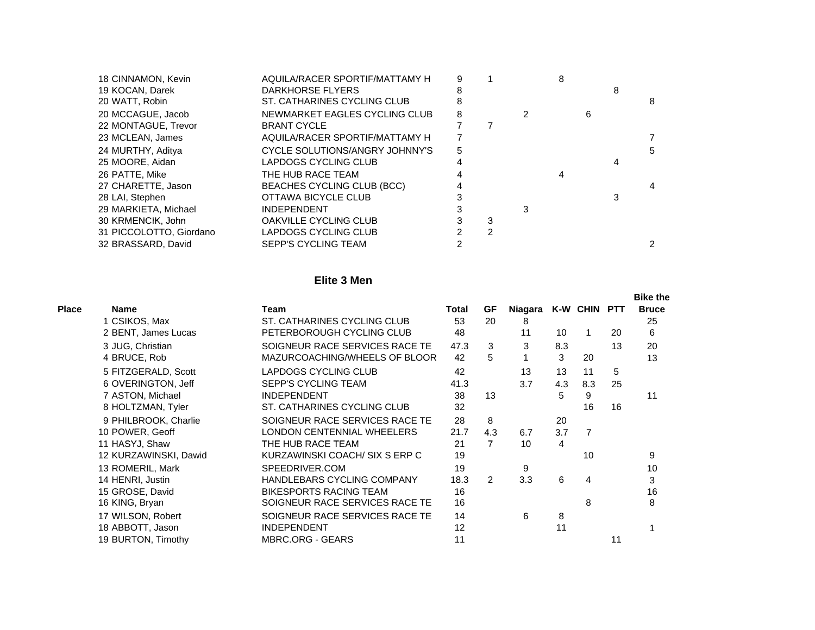| 18 CINNAMON, Kevin      | AQUILA/RACER SPORTIF/MATTAMY H | 9 |   | 8 |   |   |
|-------------------------|--------------------------------|---|---|---|---|---|
| 19 KOCAN, Darek         | DARKHORSE FLYERS               |   |   |   |   |   |
| 20 WATT, Robin          | ST. CATHARINES CYCLING CLUB    |   |   |   |   | 8 |
| 20 MCCAGUE, Jacob       | NEWMARKET EAGLES CYCLING CLUB  | 8 |   |   | 6 |   |
| 22 MONTAGUE, Trevor     | <b>BRANT CYCLE</b>             |   |   |   |   |   |
| 23 MCLEAN, James        | AQUILA/RACER SPORTIF/MATTAMY H |   |   |   |   |   |
| 24 MURTHY, Aditya       | CYCLE SOLUTIONS/ANGRY JOHNNY'S | 5 |   |   |   | 5 |
| 25 MOORE, Aidan         | LAPDOGS CYCLING CLUB           |   |   |   |   |   |
| 26 PATTE, Mike          | THE HUB RACE TEAM              |   |   |   |   |   |
| 27 CHARETTE, Jason      | BEACHES CYCLING CLUB (BCC)     |   |   |   |   |   |
| 28 LAI, Stephen         | OTTAWA BICYCLE CLUB            |   |   |   |   |   |
| 29 MARKIETA, Michael    | <b>INDEPENDENT</b>             |   |   |   |   |   |
| 30 KRMENCIK, John       | OAKVILLE CYCLING CLUB          |   | з |   |   |   |
| 31 PICCOLOTTO, Giordano | LAPDOGS CYCLING CLUB           |   | 2 |   |   |   |
| 32 BRASSARD, David      | <b>SEPP'S CYCLING TEAM</b>     |   |   |   |   |   |
|                         |                                |   |   |   |   |   |

## **Elite 3 Men**

|              |                       |                                   |       |               |         |     |                |    | <b>Bike the</b> |
|--------------|-----------------------|-----------------------------------|-------|---------------|---------|-----|----------------|----|-----------------|
| <b>Place</b> | <b>Name</b>           | Team                              | Total | GF            | Niagara |     | K-W CHIN PTT   |    | <b>Bruce</b>    |
|              | 1 CSIKOS, Max         | ST. CATHARINES CYCLING CLUB       | 53    | 20            | 8       |     |                |    | 25              |
|              | 2 BENT, James Lucas   | PETERBOROUGH CYCLING CLUB         | 48    |               | 11      | 10  |                | 20 | 6               |
|              | 3 JUG, Christian      | SOIGNEUR RACE SERVICES RACE TE    | 47.3  | 3             | 3       | 8.3 |                | 13 | 20              |
|              | 4 BRUCE, Rob          | MAZURCOACHING/WHEELS OF BLOOR     | 42    | 5             |         | 3   | 20             |    | 13              |
|              | 5 FITZGERALD, Scott   | <b>LAPDOGS CYCLING CLUB</b>       | 42    |               | 13      | 13  | 11             | 5  |                 |
|              | 6 OVERINGTON, Jeff    | <b>SEPP'S CYCLING TEAM</b>        | 41.3  |               | 3.7     | 4.3 | 8.3            | 25 |                 |
|              | 7 ASTON, Michael      | <b>INDEPENDENT</b>                | 38    | 13            |         | 5   | 9              |    | 11              |
|              | 8 HOLTZMAN, Tyler     | ST. CATHARINES CYCLING CLUB       | 32    |               |         |     | 16             | 16 |                 |
|              | 9 PHILBROOK, Charlie  | SOIGNEUR RACE SERVICES RACE TE    | 28    | 8             |         | 20  |                |    |                 |
|              | 10 POWER, Geoff       | LONDON CENTENNIAL WHEELERS        | 21.7  | 4.3           | 6.7     | 3.7 | $\overline{7}$ |    |                 |
|              | 11 HASYJ, Shaw        | THE HUB RACE TEAM                 | 21    | 7             | 10      | 4   |                |    |                 |
|              | 12 KURZAWINSKI, Dawid | KURZAWINSKI COACH/ SIX S ERP C    | 19    |               |         |     | 10             |    | 9               |
|              | 13 ROMERIL, Mark      | SPEEDRIVER.COM                    | 19    |               | 9       |     |                |    | 10              |
|              | 14 HENRI, Justin      | <b>HANDLEBARS CYCLING COMPANY</b> | 18.3  | $\mathcal{P}$ | 3.3     | 6   | 4              |    | 3               |
|              | 15 GROSE, David       | <b>BIKESPORTS RACING TEAM</b>     | 16    |               |         |     |                |    | 16              |
|              | 16 KING, Bryan        | SOIGNEUR RACE SERVICES RACE TE    | 16    |               |         |     | 8              |    | 8               |
|              | 17 WILSON, Robert     | SOIGNEUR RACE SERVICES RACE TE    | 14    |               | 6       | 8   |                |    |                 |
|              | 18 ABBOTT, Jason      | <b>INDEPENDENT</b>                | 12    |               |         | 11  |                |    |                 |
|              | 19 BURTON, Timothy    | <b>MBRC.ORG - GEARS</b>           | 11    |               |         |     |                | 11 |                 |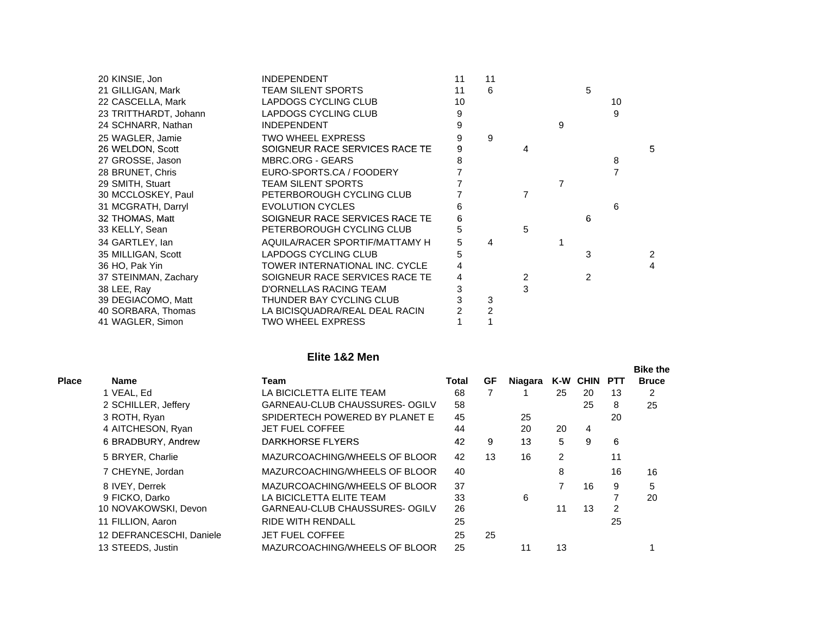| 20 KINSIE, Jon        | <b>INDEPENDENT</b>             | 11 | 11             |   |   |   |    |   |
|-----------------------|--------------------------------|----|----------------|---|---|---|----|---|
| 21 GILLIGAN, Mark     | <b>TEAM SILENT SPORTS</b>      | 11 | 6              |   |   | 5 |    |   |
| 22 CASCELLA, Mark     | LAPDOGS CYCLING CLUB           | 10 |                |   |   |   | 10 |   |
| 23 TRITTHARDT, Johann | LAPDOGS CYCLING CLUB           | 9  |                |   |   |   | 9  |   |
| 24 SCHNARR, Nathan    | <b>INDEPENDENT</b>             | 9  |                |   | 9 |   |    |   |
| 25 WAGLER, Jamie      | <b>TWO WHEEL EXPRESS</b>       | 9  | 9              |   |   |   |    |   |
| 26 WELDON, Scott      | SOIGNEUR RACE SERVICES RACE TE | 9  |                | 4 |   |   |    | 5 |
| 27 GROSSE, Jason      | <b>MBRC.ORG - GEARS</b>        | 8  |                |   |   |   | 8  |   |
| 28 BRUNET, Chris      | EURO-SPORTS.CA / FOODERY       |    |                |   |   |   |    |   |
| 29 SMITH, Stuart      | <b>TEAM SILENT SPORTS</b>      |    |                |   |   |   |    |   |
| 30 MCCLOSKEY, Paul    | PETERBOROUGH CYCLING CLUB      |    |                |   |   |   |    |   |
| 31 MCGRATH, Darryl    | <b>EVOLUTION CYCLES</b>        | 6  |                |   |   |   | 6  |   |
| 32 THOMAS, Matt       | SOIGNEUR RACE SERVICES RACE TE | 6  |                |   |   | 6 |    |   |
| 33 KELLY, Sean        | PETERBOROUGH CYCLING CLUB      | 5  |                | 5 |   |   |    |   |
| 34 GARTLEY, Ian       | AQUILA/RACER SPORTIF/MATTAMY H | 5  | 4              |   |   |   |    |   |
| 35 MILLIGAN, Scott    | LAPDOGS CYCLING CLUB           | 5  |                |   |   | 3 |    | 2 |
| 36 HO, Pak Yin        | TOWER INTERNATIONAL INC. CYCLE | 4  |                |   |   |   |    | 4 |
| 37 STEINMAN, Zachary  | SOIGNEUR RACE SERVICES RACE TE | 4  |                | 2 |   | 2 |    |   |
| 38 LEE, Ray           | D'ORNELLAS RACING TEAM         | 3  |                | 3 |   |   |    |   |
| 39 DEGIACOMO, Matt    | THUNDER BAY CYCLING CLUB       |    | 3              |   |   |   |    |   |
| 40 SORBARA, Thomas    | LA BICISQUADRA/REAL DEAL RACIN |    | $\overline{c}$ |   |   |   |    |   |
| 41 WAGLER, Simon      | <b>TWO WHEEL EXPRESS</b>       |    |                |   |   |   |    |   |

#### **Elite 1&2 Men**

|              |                          |                                |       |    |         |    |              |    | <b>Bike the</b> |
|--------------|--------------------------|--------------------------------|-------|----|---------|----|--------------|----|-----------------|
| <b>Place</b> | Name                     | Team                           | Total | GF | Niagara |    | K-W CHIN PTT |    | <b>Bruce</b>    |
|              | 1 VEAL, Ed               | LA BICICLETTA ELITE TEAM       | 68    |    |         | 25 | 20           | 13 | 2               |
|              | 2 SCHILLER, Jeffery      | GARNEAU-CLUB CHAUSSURES- OGILV | 58    |    |         |    | 25           | 8  | 25              |
|              | 3 ROTH, Ryan             | SPIDERTECH POWERED BY PLANET E | 45    |    | 25      |    |              | 20 |                 |
|              | 4 AITCHESON, Ryan        | <b>JET FUEL COFFEE</b>         | 44    |    | 20      | 20 | 4            |    |                 |
|              | 6 BRADBURY, Andrew       | DARKHORSE FLYERS               | 42    | 9  | 13      | 5  | 9            | 6  |                 |
|              | 5 BRYER, Charlie         | MAZURCOACHING/WHEELS OF BLOOR  | 42    | 13 | 16      | 2  |              | 11 |                 |
|              | 7 CHEYNE, Jordan         | MAZURCOACHING/WHEELS OF BLOOR  | 40    |    |         | 8  |              | 16 | 16              |
|              | 8 IVEY, Derrek           | MAZURCOACHING/WHEELS OF BLOOR  | 37    |    |         |    | 16           | 9  | 5               |
|              | 9 FICKO, Darko           | LA BICICLETTA ELITE TEAM       | 33    |    | 6       |    |              |    | 20              |
|              | 10 NOVAKOWSKI, Devon     | GARNEAU-CLUB CHAUSSURES- OGILV | 26    |    |         | 11 | 13           | 2  |                 |
|              | 11 FILLION, Aaron        | <b>RIDE WITH RENDALL</b>       | 25    |    |         |    |              | 25 |                 |
|              | 12 DEFRANCESCHI, Daniele | <b>JET FUEL COFFEE</b>         | 25    | 25 |         |    |              |    |                 |
|              | 13 STEEDS, Justin        | MAZURCOACHING/WHEELS OF BLOOR  | 25    |    | 11      | 13 |              |    |                 |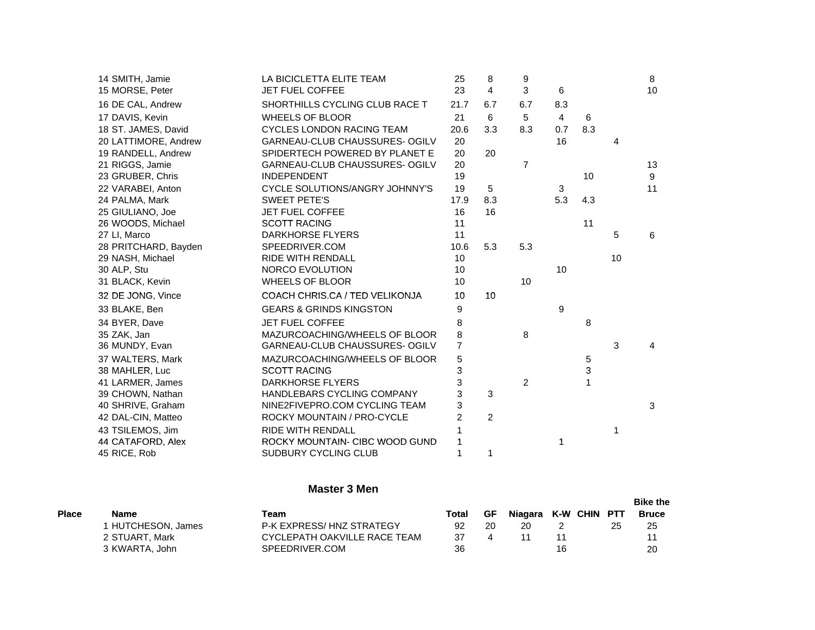| 14 SMITH, Jamie      | LA BICICLETTA ELITE TEAM           | 25             | 8              | 9               |                |     |    | 8              |
|----------------------|------------------------------------|----------------|----------------|-----------------|----------------|-----|----|----------------|
| 15 MORSE, Peter      | JET FUEL COFFEE                    | 23             | $\overline{4}$ | 3               | 6              |     |    | 10             |
| 16 DE CAL, Andrew    | SHORTHILLS CYCLING CLUB RACE T     | 21.7           | 6.7            | 6.7             | 8.3            |     |    |                |
| 17 DAVIS, Kevin      | <b>WHEELS OF BLOOR</b>             | 21             | 6              | $5\phantom{.0}$ | $\overline{4}$ | 6   |    |                |
| 18 ST. JAMES, David  | <b>CYCLES LONDON RACING TEAM</b>   | 20.6           | 3.3            | 8.3             | 0.7            | 8.3 |    |                |
| 20 LATTIMORE, Andrew | GARNEAU-CLUB CHAUSSURES- OGILV     | 20             |                |                 | 16             |     | 4  |                |
| 19 RANDELL, Andrew   | SPIDERTECH POWERED BY PLANET E     | 20             | 20             |                 |                |     |    |                |
| 21 RIGGS, Jamie      | GARNEAU-CLUB CHAUSSURES- OGILV     | 20             |                | $\overline{7}$  |                |     |    | 13             |
| 23 GRUBER, Chris     | <b>INDEPENDENT</b>                 | 19             |                |                 |                | 10  |    | 9              |
| 22 VARABEI, Anton    | CYCLE SOLUTIONS/ANGRY JOHNNY'S     | 19             | 5              |                 | 3              |     |    | 11             |
| 24 PALMA, Mark       | <b>SWEET PETE'S</b>                | 17.9           | 8.3            |                 | 5.3            | 4.3 |    |                |
| 25 GIULIANO, Joe     | <b>JET FUEL COFFEE</b>             | 16             | 16             |                 |                |     |    |                |
| 26 WOODS, Michael    | <b>SCOTT RACING</b>                | 11             |                |                 |                | 11  |    |                |
| 27 LI, Marco         | <b>DARKHORSE FLYERS</b>            | 11             |                |                 |                |     | 5  | 6              |
| 28 PRITCHARD, Bayden | SPEEDRIVER.COM                     | 10.6           | 5.3            | 5.3             |                |     |    |                |
| 29 NASH, Michael     | <b>RIDE WITH RENDALL</b>           | 10             |                |                 |                |     | 10 |                |
| 30 ALP, Stu          | NORCO EVOLUTION                    | 10             |                |                 | 10             |     |    |                |
| 31 BLACK, Kevin      | <b>WHEELS OF BLOOR</b>             | 10             |                | 10              |                |     |    |                |
| 32 DE JONG, Vince    | COACH CHRIS.CA / TED VELIKONJA     | 10             | 10             |                 |                |     |    |                |
| 33 BLAKE, Ben        | <b>GEARS &amp; GRINDS KINGSTON</b> | 9              |                |                 | 9              |     |    |                |
| 34 BYER, Dave        | <b>JET FUEL COFFEE</b>             | 8              |                |                 |                | 8   |    |                |
| 35 ZAK, Jan          | MAZURCOACHING/WHEELS OF BLOOR      | 8              |                | 8               |                |     |    |                |
| 36 MUNDY, Evan       | GARNEAU-CLUB CHAUSSURES- OGILV     | 7              |                |                 |                |     | 3  | $\overline{4}$ |
| 37 WALTERS, Mark     | MAZURCOACHING/WHEELS OF BLOOR      | 5              |                |                 |                | 5   |    |                |
| 38 MAHLER, Luc       | <b>SCOTT RACING</b>                | 3              |                |                 |                | 3   |    |                |
| 41 LARMER, James     | <b>DARKHORSE FLYERS</b>            | 3              |                | $\overline{2}$  |                | 1   |    |                |
| 39 CHOWN, Nathan     | HANDLEBARS CYCLING COMPANY         | 3              | 3              |                 |                |     |    |                |
| 40 SHRIVE, Graham    | NINE2FIVEPRO.COM CYCLING TEAM      | 3              |                |                 |                |     |    | 3              |
| 42 DAL-CIN, Matteo   | ROCKY MOUNTAIN / PRO-CYCLE         | $\overline{2}$ | $\overline{2}$ |                 |                |     |    |                |
| 43 TSILEMOS, Jim     | <b>RIDE WITH RENDALL</b>           |                |                |                 |                |     | 1  |                |
| 44 CATAFORD, Alex    | ROCKY MOUNTAIN- CIBC WOOD GUND     |                |                |                 | 1              |     |    |                |
| 45 RICE, Rob         | SUDBURY CYCLING CLUB               |                | 1              |                 |                |     |    |                |

#### **Master 3 Men**

|              |                  |                              |       |    |                      |    |  | <b>Bike the</b> |
|--------------|------------------|------------------------------|-------|----|----------------------|----|--|-----------------|
| <b>Place</b> | Name             | Team                         | Total | GF | Niagara K-W CHIN PTT |    |  | <b>Bruce</b>    |
|              | HUTCHESON, James | P-K EXPRESS/HNZ STRATEGY     | 92    | 20 | 20                   |    |  | 25              |
|              | 2 STUART. Mark   | CYCLEPATH OAKVILLE RACE TEAM | 37    |    |                      |    |  | 11              |
|              | 3 KWARTA, John   | SPEEDRIVER.COM               | 36    |    |                      | 16 |  | 20              |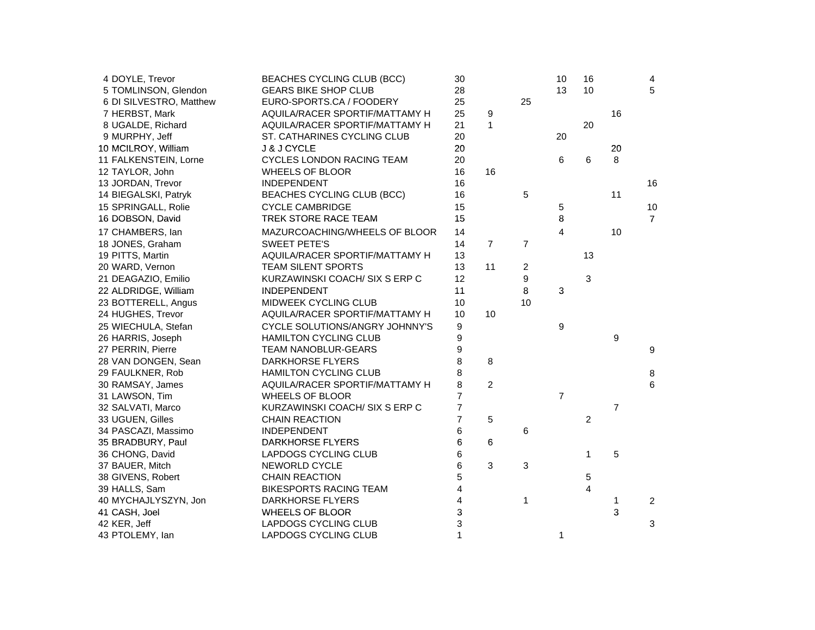| 4 DOYLE, Trevor         | BEACHES CYCLING CLUB (BCC)        | 30             |                |                | 10               | 16             |                | $\overline{4}$ |
|-------------------------|-----------------------------------|----------------|----------------|----------------|------------------|----------------|----------------|----------------|
| 5 TOMLINSON, Glendon    | <b>GEARS BIKE SHOP CLUB</b>       | 28             |                |                | 13               | 10             |                | 5              |
| 6 DI SILVESTRO, Matthew | EURO-SPORTS.CA / FOODERY          | 25             |                | 25             |                  |                |                |                |
| 7 HERBST, Mark          | AQUILA/RACER SPORTIF/MATTAMY H    | 25             | 9              |                |                  |                | 16             |                |
| 8 UGALDE, Richard       | AQUILA/RACER SPORTIF/MATTAMY H    | 21             | $\mathbf{1}$   |                |                  | 20             |                |                |
| 9 MURPHY, Jeff          | ST. CATHARINES CYCLING CLUB       | 20             |                |                | 20               |                |                |                |
| 10 MCILROY, William     | J & J CYCLE                       | 20             |                |                |                  |                | 20             |                |
| 11 FALKENSTEIN, Lorne   | <b>CYCLES LONDON RACING TEAM</b>  | 20             |                |                | 6                | 6              | 8              |                |
| 12 TAYLOR, John         | <b>WHEELS OF BLOOR</b>            | 16             | 16             |                |                  |                |                |                |
| 13 JORDAN, Trevor       | <b>INDEPENDENT</b>                | 16             |                |                |                  |                |                | 16             |
| 14 BIEGALSKI, Patryk    | <b>BEACHES CYCLING CLUB (BCC)</b> | 16             |                | 5              |                  |                | 11             |                |
| 15 SPRINGALL, Rolie     | <b>CYCLE CAMBRIDGE</b>            | 15             |                |                | 5                |                |                | 10             |
| 16 DOBSON, David        | TREK STORE RACE TEAM              | 15             |                |                | 8                |                |                | $\overline{7}$ |
| 17 CHAMBERS, Ian        | MAZURCOACHING/WHEELS OF BLOOR     | 14             |                |                | 4                |                | 10             |                |
| 18 JONES, Graham        | <b>SWEET PETE'S</b>               | 14             | $\overline{7}$ | $\overline{7}$ |                  |                |                |                |
| 19 PITTS, Martin        | AQUILA/RACER SPORTIF/MATTAMY H    | 13             |                |                |                  | 13             |                |                |
| 20 WARD, Vernon         | <b>TEAM SILENT SPORTS</b>         | 13             | 11             | 2              |                  |                |                |                |
| 21 DEAGAZIO, Emilio     | KURZAWINSKI COACH/ SIX S ERP C    | 12             |                | 9              |                  | 3              |                |                |
| 22 ALDRIDGE, William    | <b>INDEPENDENT</b>                | 11             |                | 8              | 3                |                |                |                |
| 23 BOTTERELL, Angus     | MIDWEEK CYCLING CLUB              | 10             |                | 10             |                  |                |                |                |
| 24 HUGHES, Trevor       | AQUILA/RACER SPORTIF/MATTAMY H    | 10             | 10             |                |                  |                |                |                |
| 25 WIECHULA, Stefan     | CYCLE SOLUTIONS/ANGRY JOHNNY'S    | 9              |                |                | $\boldsymbol{9}$ |                |                |                |
| 26 HARRIS, Joseph       | <b>HAMILTON CYCLING CLUB</b>      | 9              |                |                |                  |                | 9              |                |
| 27 PERRIN, Pierre       | TEAM NANOBLUR-GEARS               | 9              |                |                |                  |                |                | 9              |
| 28 VAN DONGEN, Sean     | <b>DARKHORSE FLYERS</b>           | 8              | 8              |                |                  |                |                |                |
| 29 FAULKNER, Rob        | <b>HAMILTON CYCLING CLUB</b>      | 8              |                |                |                  |                |                | 8              |
| 30 RAMSAY, James        | AQUILA/RACER SPORTIF/MATTAMY H    | 8              | $\overline{c}$ |                |                  |                |                | 6              |
| 31 LAWSON, Tim          | <b>WHEELS OF BLOOR</b>            | $\overline{7}$ |                |                | $\overline{7}$   |                |                |                |
| 32 SALVATI, Marco       | KURZAWINSKI COACH/ SIX S ERP C    | $\overline{7}$ |                |                |                  |                | $\overline{7}$ |                |
| 33 UGUEN, Gilles        | <b>CHAIN REACTION</b>             | $\overline{7}$ | 5              |                |                  | $\overline{c}$ |                |                |
| 34 PASCAZI, Massimo     | <b>INDEPENDENT</b>                | 6              |                | 6              |                  |                |                |                |
| 35 BRADBURY, Paul       | <b>DARKHORSE FLYERS</b>           | 6              | 6              |                |                  |                |                |                |
| 36 CHONG, David         | LAPDOGS CYCLING CLUB              | 6              |                |                |                  | 1              | 5              |                |
| 37 BAUER, Mitch         | NEWORLD CYCLE                     | 6              | 3              | 3              |                  |                |                |                |
| 38 GIVENS, Robert       | <b>CHAIN REACTION</b>             | 5              |                |                |                  | 5              |                |                |
| 39 HALLS, Sam           | <b>BIKESPORTS RACING TEAM</b>     | 4              |                |                |                  | 4              |                |                |
| 40 MYCHAJLYSZYN, Jon    | <b>DARKHORSE FLYERS</b>           | $\overline{4}$ |                | 1              |                  |                | 1              | $\overline{2}$ |
| 41 CASH, Joel           | <b>WHEELS OF BLOOR</b>            | 3              |                |                |                  |                | 3              |                |
| 42 KER, Jeff            | LAPDOGS CYCLING CLUB              | 3              |                |                |                  |                |                | 3              |
| 43 PTOLEMY, lan         | LAPDOGS CYCLING CLUB              | $\mathbf{1}$   |                |                | 1                |                |                |                |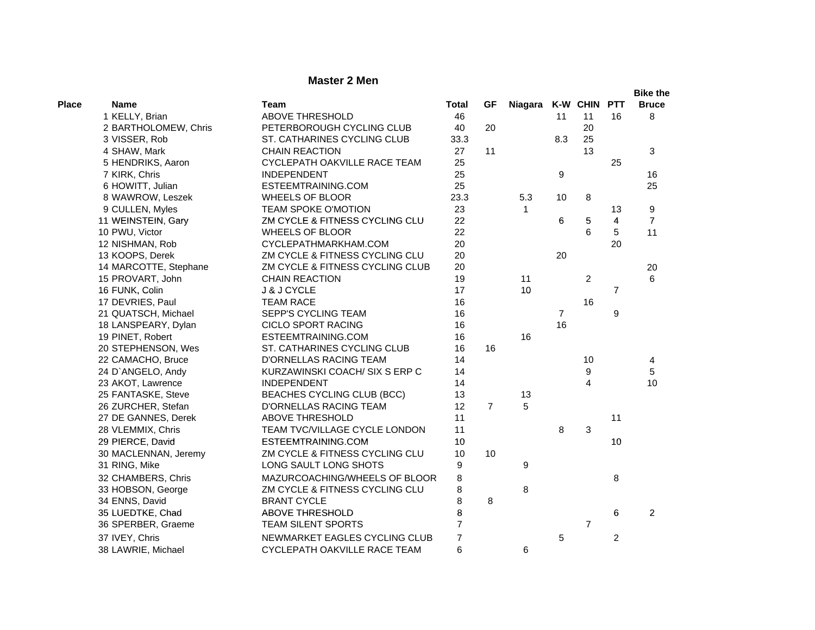# **Master 2 Men**

|              |                       |                                 |                |                |                      |                |                |                | <b>Bike the</b> |
|--------------|-----------------------|---------------------------------|----------------|----------------|----------------------|----------------|----------------|----------------|-----------------|
| <b>Place</b> | <b>Name</b>           | <b>Team</b>                     | <b>Total</b>   | <b>GF</b>      | Niagara K-W CHIN PTT |                |                |                | <b>Bruce</b>    |
|              | 1 KELLY, Brian        | <b>ABOVE THRESHOLD</b>          | 46             |                |                      | 11             | 11             | 16             | 8               |
|              | 2 BARTHOLOMEW, Chris  | PETERBOROUGH CYCLING CLUB       | 40             | 20             |                      |                | 20             |                |                 |
|              | 3 VISSER, Rob         | ST. CATHARINES CYCLING CLUB     | 33.3           |                |                      | 8.3            | 25             |                |                 |
|              | 4 SHAW, Mark          | <b>CHAIN REACTION</b>           | 27             | 11             |                      |                | 13             |                | 3               |
|              | 5 HENDRIKS, Aaron     | CYCLEPATH OAKVILLE RACE TEAM    | 25             |                |                      |                |                | 25             |                 |
|              | 7 KIRK, Chris         | <b>INDEPENDENT</b>              | 25             |                |                      | 9              |                |                | 16              |
|              | 6 HOWITT, Julian      | ESTEEMTRAINING.COM              | 25             |                |                      |                |                |                | 25              |
|              | 8 WAWROW, Leszek      | <b>WHEELS OF BLOOR</b>          | 23.3           |                | 5.3                  | 10             | 8              |                |                 |
|              | 9 CULLEN, Myles       | TEAM SPOKE O'MOTION             | 23             |                | 1                    |                |                | 13             | 9               |
|              | 11 WEINSTEIN, Gary    | ZM CYCLE & FITNESS CYCLING CLU  | 22             |                |                      | 6              | 5              | 4              | $\overline{7}$  |
|              | 10 PWU, Victor        | <b>WHEELS OF BLOOR</b>          | 22             |                |                      |                | 6              | 5              | 11              |
|              | 12 NISHMAN, Rob       | CYCLEPATHMARKHAM.COM            | 20             |                |                      |                |                | 20             |                 |
|              | 13 KOOPS, Derek       | ZM CYCLE & FITNESS CYCLING CLU  | 20             |                |                      | 20             |                |                |                 |
|              | 14 MARCOTTE, Stephane | ZM CYCLE & FITNESS CYCLING CLUB | 20             |                |                      |                |                |                | 20              |
|              | 15 PROVART, John      | <b>CHAIN REACTION</b>           | 19             |                | 11                   |                | $\overline{c}$ |                | 6               |
|              | 16 FUNK, Colin        | J & J CYCLE                     | 17             |                | 10                   |                |                | $\overline{7}$ |                 |
|              | 17 DEVRIES, Paul      | <b>TEAM RACE</b>                | 16             |                |                      |                | 16             |                |                 |
|              | 21 QUATSCH, Michael   | SEPP'S CYCLING TEAM             | 16             |                |                      | $\overline{7}$ |                | 9              |                 |
|              | 18 LANSPEARY, Dylan   | <b>CICLO SPORT RACING</b>       | 16             |                |                      | 16             |                |                |                 |
|              | 19 PINET, Robert      | ESTEEMTRAINING.COM              | 16             |                | 16                   |                |                |                |                 |
|              | 20 STEPHENSON, Wes    | ST. CATHARINES CYCLING CLUB     | 16             | 16             |                      |                |                |                |                 |
|              | 22 CAMACHO, Bruce     | D'ORNELLAS RACING TEAM          | 14             |                |                      |                | 10             |                | 4               |
|              | 24 D'ANGELO, Andy     | KURZAWINSKI COACH/ SIX S ERP C  | 14             |                |                      |                | 9              |                | 5               |
|              | 23 AKOT, Lawrence     | <b>INDEPENDENT</b>              | 14             |                |                      |                | 4              |                | 10              |
|              | 25 FANTASKE, Steve    | BEACHES CYCLING CLUB (BCC)      | 13             |                | 13                   |                |                |                |                 |
|              | 26 ZURCHER, Stefan    | D'ORNELLAS RACING TEAM          | 12             | $\overline{7}$ | 5                    |                |                |                |                 |
|              | 27 DE GANNES, Derek   | <b>ABOVE THRESHOLD</b>          | 11             |                |                      |                |                | 11             |                 |
|              | 28 VLEMMIX, Chris     | TEAM TVC/VILLAGE CYCLE LONDON   | 11             |                |                      | 8              | 3              |                |                 |
|              | 29 PIERCE, David      | ESTEEMTRAINING.COM              | 10             |                |                      |                |                | 10             |                 |
|              | 30 MACLENNAN, Jeremy  | ZM CYCLE & FITNESS CYCLING CLU  | 10             | 10             |                      |                |                |                |                 |
|              | 31 RING, Mike         | LONG SAULT LONG SHOTS           | 9              |                | 9                    |                |                |                |                 |
|              | 32 CHAMBERS, Chris    | MAZURCOACHING/WHEELS OF BLOOR   | 8              |                |                      |                |                | 8              |                 |
|              | 33 HOBSON, George     | ZM CYCLE & FITNESS CYCLING CLU  | 8              |                | 8                    |                |                |                |                 |
|              | 34 ENNS, David        | <b>BRANT CYCLE</b>              | 8              | 8              |                      |                |                |                |                 |
|              | 35 LUEDTKE, Chad      | <b>ABOVE THRESHOLD</b>          | 8              |                |                      |                |                | 6              | $\overline{2}$  |
|              | 36 SPERBER, Graeme    | TEAM SILENT SPORTS              | $\overline{7}$ |                |                      |                | $\overline{7}$ |                |                 |
|              | 37 IVEY, Chris        | NEWMARKET EAGLES CYCLING CLUB   | 7              |                |                      | 5              |                | 2              |                 |
|              | 38 LAWRIE, Michael    | CYCLEPATH OAKVILLE RACE TEAM    | 6              |                | 6                    |                |                |                |                 |
|              |                       |                                 |                |                |                      |                |                |                |                 |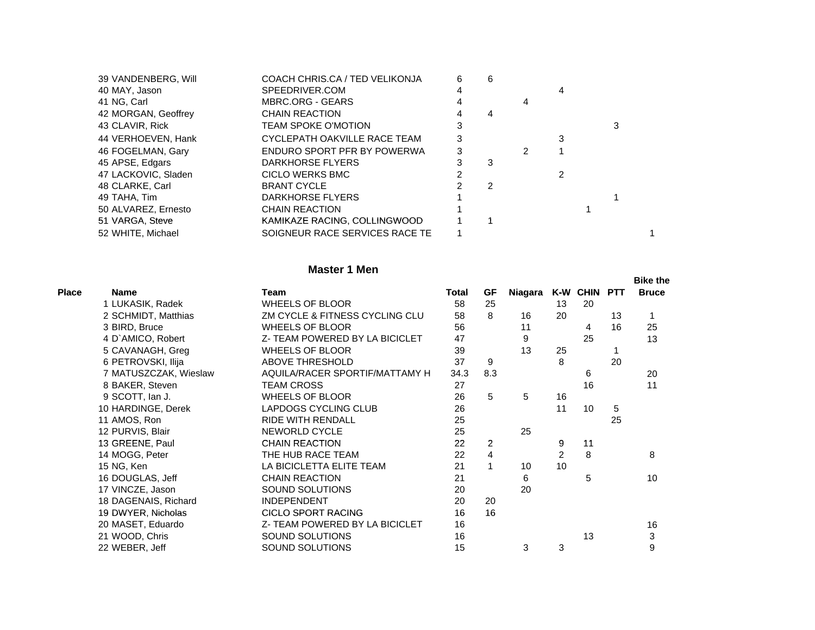|             |                                                                                                                                                                                                                                                                       | 6 | 6                                                                                                                                                               |   |   |   |  |
|-------------|-----------------------------------------------------------------------------------------------------------------------------------------------------------------------------------------------------------------------------------------------------------------------|---|-----------------------------------------------------------------------------------------------------------------------------------------------------------------|---|---|---|--|
|             | SPEEDRIVER.COM                                                                                                                                                                                                                                                        | 4 |                                                                                                                                                                 |   | 4 |   |  |
|             | <b>MBRC.ORG - GEARS</b>                                                                                                                                                                                                                                               |   |                                                                                                                                                                 |   |   |   |  |
|             | <b>CHAIN REACTION</b>                                                                                                                                                                                                                                                 |   |                                                                                                                                                                 |   |   |   |  |
|             | <b>TEAM SPOKE O'MOTION</b>                                                                                                                                                                                                                                            | 3 |                                                                                                                                                                 |   |   | 3 |  |
|             |                                                                                                                                                                                                                                                                       |   |                                                                                                                                                                 |   | 3 |   |  |
|             |                                                                                                                                                                                                                                                                       | 3 |                                                                                                                                                                 | 2 |   |   |  |
|             | DARKHORSE FLYERS                                                                                                                                                                                                                                                      |   | 3                                                                                                                                                               |   |   |   |  |
|             | CICLO WERKS BMC                                                                                                                                                                                                                                                       |   |                                                                                                                                                                 |   | 2 |   |  |
|             | <b>BRANT CYCLE</b>                                                                                                                                                                                                                                                    |   | 2                                                                                                                                                               |   |   |   |  |
|             | DARKHORSE FLYERS                                                                                                                                                                                                                                                      |   |                                                                                                                                                                 |   |   |   |  |
|             | <b>CHAIN REACTION</b>                                                                                                                                                                                                                                                 |   |                                                                                                                                                                 |   |   |   |  |
|             |                                                                                                                                                                                                                                                                       |   |                                                                                                                                                                 |   |   |   |  |
|             |                                                                                                                                                                                                                                                                       |   |                                                                                                                                                                 |   |   |   |  |
| 41 NG, Carl | 39 VANDENBERG, Will<br>40 MAY, Jason<br>42 MORGAN, Geoffrey<br>43 CLAVIR, Rick<br>44 VERHOEVEN, Hank<br>46 FOGELMAN, Gary<br>45 APSE, Edgars<br>47 LACKOVIC, Sladen<br>48 CLARKE, Carl<br>49 TAHA, Tim<br>50 ALVAREZ, Ernesto<br>51 VARGA, Steve<br>52 WHITE, Michael |   | COACH CHRIS.CA / TED VELIKONJA<br>CYCLEPATH OAKVILLE RACE TEAM<br>ENDURO SPORT PFR BY POWERWA<br>KAMIKAZE RACING, COLLINGWOOD<br>SOIGNEUR RACE SERVICES RACE TE |   |   |   |  |

#### **Master 1 Men**

|              |                       |                                |       |                |         |    |              |    | <b>Bike the</b> |
|--------------|-----------------------|--------------------------------|-------|----------------|---------|----|--------------|----|-----------------|
| <b>Place</b> | <b>Name</b>           | Team                           | Total | GF             | Niagara |    | K-W CHIN PTT |    | <b>Bruce</b>    |
|              | 1 LUKASIK, Radek      | <b>WHEELS OF BLOOR</b>         | 58    | 25             |         | 13 | 20           |    |                 |
|              | 2 SCHMIDT, Matthias   | ZM CYCLE & FITNESS CYCLING CLU | 58    | 8              | 16      | 20 |              | 13 | 1               |
|              | 3 BIRD, Bruce         | <b>WHEELS OF BLOOR</b>         | 56    |                | 11      |    | 4            | 16 | 25              |
|              | 4 D'AMICO, Robert     | Z- TEAM POWERED BY LA BICICLET | 47    |                | 9       |    | 25           |    | 13              |
|              | 5 CAVANAGH, Greg      | <b>WHEELS OF BLOOR</b>         | 39    |                | 13      | 25 |              |    |                 |
|              | 6 PETROVSKI, Ilija    | ABOVE THRESHOLD                | 37    | 9              |         | 8  |              | 20 |                 |
|              | 7 MATUSZCZAK, Wieslaw | AQUILA/RACER SPORTIF/MATTAMY H | 34.3  | 8.3            |         |    | 6            |    | 20              |
|              | 8 BAKER, Steven       | <b>TEAM CROSS</b>              | 27    |                |         |    | 16           |    | 11              |
|              | 9 SCOTT, Ian J.       | <b>WHEELS OF BLOOR</b>         | 26    | 5              | 5       | 16 |              |    |                 |
|              | 10 HARDINGE, Derek    | LAPDOGS CYCLING CLUB           | 26    |                |         | 11 | 10           | 5  |                 |
|              | 11 AMOS, Ron          | <b>RIDE WITH RENDALL</b>       | 25    |                |         |    |              | 25 |                 |
|              | 12 PURVIS, Blair      | <b>NEWORLD CYCLE</b>           | 25    |                | 25      |    |              |    |                 |
|              | 13 GREENE, Paul       | <b>CHAIN REACTION</b>          | 22    | $\overline{2}$ |         | 9  | 11           |    |                 |
|              | 14 MOGG, Peter        | THE HUB RACE TEAM              | 22    | 4              |         | 2  | 8            |    | 8               |
|              | 15 NG, Ken            | LA BICICLETTA ELITE TEAM       | 21    | 1              | 10      | 10 |              |    |                 |
|              | 16 DOUGLAS, Jeff      | <b>CHAIN REACTION</b>          | 21    |                | 6       |    | 5            |    | 10              |
|              | 17 VINCZE, Jason      | SOUND SOLUTIONS                | 20    |                | 20      |    |              |    |                 |
|              | 18 DAGENAIS, Richard  | <b>INDEPENDENT</b>             | 20    | 20             |         |    |              |    |                 |
|              | 19 DWYER, Nicholas    | <b>CICLO SPORT RACING</b>      | 16    | 16             |         |    |              |    |                 |
|              | 20 MASET, Eduardo     | Z- TEAM POWERED BY LA BICICLET | 16    |                |         |    |              |    | 16              |
|              | 21 WOOD, Chris        | SOUND SOLUTIONS                | 16    |                |         |    | 13           |    | 3               |
|              | 22 WEBER, Jeff        | SOUND SOLUTIONS                | 15    |                | 3       | 3  |              |    | 9               |